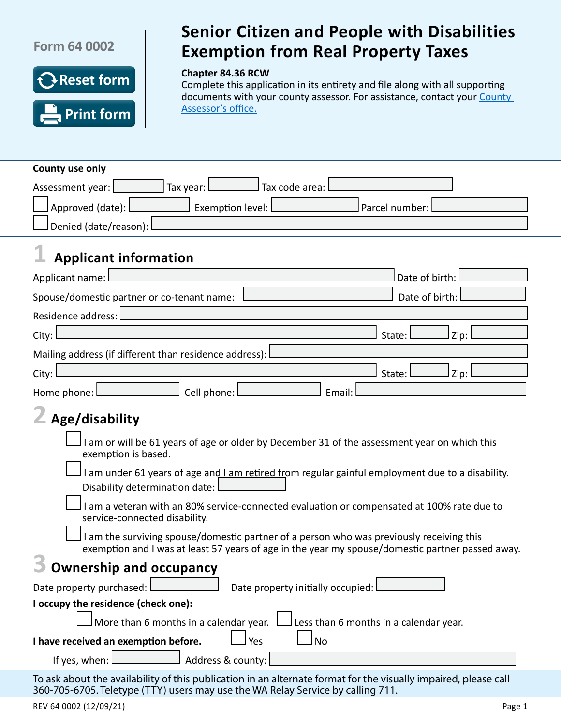## **Form 64 0002**

**County use only**



## Senior Citizen and People with Disabilities Exemption from Real Property Taxes **Senior Citizen and People with Disabilities Exemption from Real Property Taxes**

#### **Chapter 84.36 RCW**

Complete this application in its entirety and file along with all supporting documents with your county assessor. For assistance, contact your County [Assessor's](http://dor.wa.gov/countycontacts) office.

| Tax year:<br>Tax code area:<br>Assessment year:                                                                                                                                                    |
|----------------------------------------------------------------------------------------------------------------------------------------------------------------------------------------------------|
| Approved (date): L<br>Exemption level:<br>Parcel number:                                                                                                                                           |
| Denied (date/reason):                                                                                                                                                                              |
| <b>Applicant information</b>                                                                                                                                                                       |
| Applicant name:<br>Date of birth:                                                                                                                                                                  |
| Date of birth:<br>Spouse/domestic partner or co-tenant name:                                                                                                                                       |
| Residence address:                                                                                                                                                                                 |
| Zip:<br>City:<br>State:                                                                                                                                                                            |
| Mailing address (if different than residence address): $\Box$                                                                                                                                      |
| City:<br>Zip:<br>State: l                                                                                                                                                                          |
| Cell phone:<br>Home phone: l<br>Email:                                                                                                                                                             |
| Age/disability                                                                                                                                                                                     |
| I am or will be 61 years of age or older by December 31 of the assessment year on which this<br>exemption is based.                                                                                |
| I am under 61 years of age and I am retired from regular gainful employment due to a disability.                                                                                                   |
| Disability determination date:                                                                                                                                                                     |
| I am a veteran with an 80% service-connected evaluation or compensated at 100% rate due to<br>service-connected disability.                                                                        |
| I am the surviving spouse/domestic partner of a person who was previously receiving this<br>exemption and I was at least 57 years of age in the year my spouse/domestic partner passed away.       |
| <b>Ownership and occupancy</b>                                                                                                                                                                     |
| Date property purchased: [111] Date property purchased:<br>Date property initially occupied:                                                                                                       |
| I occupy the residence (check one):                                                                                                                                                                |
| More than 6 months in a calendar year.<br>Less than 6 months in a calendar year.                                                                                                                   |
| l Yes<br><b>No</b><br>I have received an exemption before.                                                                                                                                         |
| Address & county:<br>If yes, when:                                                                                                                                                                 |
| To ask about the availability of this publication in an alternate format for the visually impaired, please call<br>360-705-6705. Teletype (TTY) users may use the WA Relay Service by calling 711. |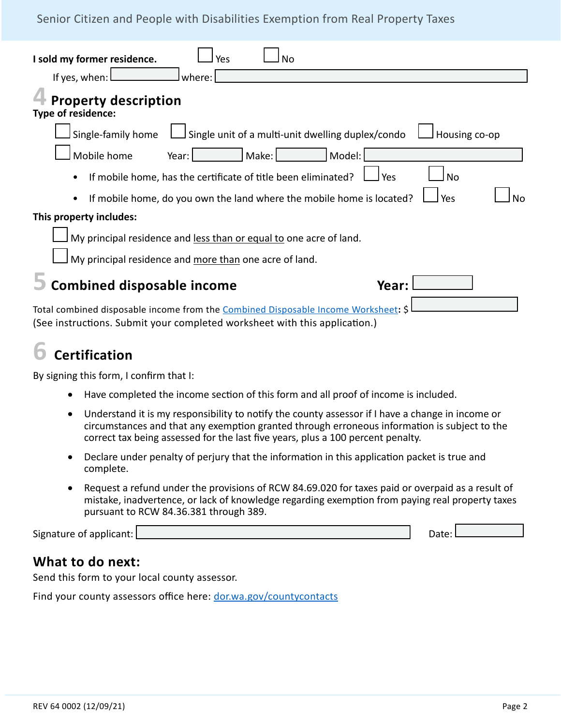### Senior Citizen and People with Disabilities Exemption from Real Property Taxes

| I sold my former residence.<br>Yes<br>No<br>If yes, when:<br>where:                                                                                              |
|------------------------------------------------------------------------------------------------------------------------------------------------------------------|
| <b>Property description</b><br>Type of residence:                                                                                                                |
| Single unit of a multi-unit dwelling duplex/condo<br>Single-family home<br>Housing co-op                                                                         |
| Mobile home<br>Make:<br>Model:<br>Year:                                                                                                                          |
| If mobile home, has the certificate of title been eliminated?<br><b>No</b><br>Yes<br>$\bullet$                                                                   |
| If mobile home, do you own the land where the mobile home is located?<br>Yes<br>N٥<br>$\bullet$                                                                  |
| This property includes:                                                                                                                                          |
| My principal residence and less than or equal to one acre of land.                                                                                               |
| My principal residence and more than one acre of land.                                                                                                           |
| <b>Combined disposable income</b><br>Year:                                                                                                                       |
| Total combined disposable income from the Combined Disposable Income Worksheet: \$<br>(See instructions. Submit your completed worksheet with this application.) |

# **6 Certification**

By signing this form, I confirm that I:

- Have completed the income section of this form and all proof of income is included.
- Understand it is my responsibility to notify the county assessor if I have a change in income or circumstances and that any exemption granted through erroneous information is subject to the correct tax being assessed for the last five years, plus a 100 percent penalty.
- Declare under penalty of perjury that the information in this application packet is true and complete.
- Request a refund under the provisions of RCW 84.69.020 for taxes paid or overpaid as a result of mistake, inadvertence, or lack of knowledge regarding exemption from paying real property taxes pursuant to RCW 84.36.381 through 389.

Signature of applicant: Date: Date: Date: 0 Date: 0 Date: 0 Date: 0 Date: 0 Date: 0 Date: 0 Date: 0 Date: 0 Date: 0 Date: 0 Date: 0 Date: 0 Date: 0 Date: 0 Date: 0 Date: 0 Date: 0 Date: 0 Date: 0 Date: 0 Date: 0 Date: 0 Da

## **What to do next:**

Send this form to your local county assessor.

Find your county assessors office here: [dor.wa.gov/countycontacts](http://dor.wa.gov/countycontacts)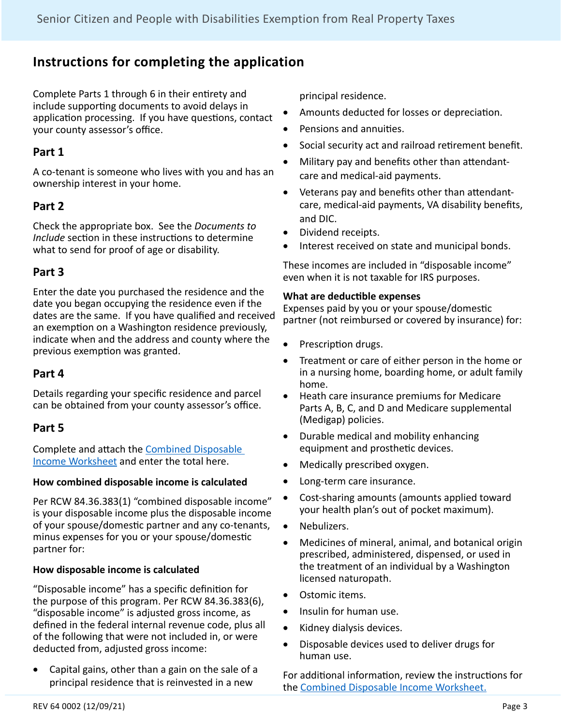## **Instructions for completing the application**

Complete Parts 1 through 6 in their entirety and include supporting documents to avoid delays in application processing. If you have questions, contact your county assessor's office.

## **Part 1**

A co-tenant is someone who lives with you and has an ownership interest in your home.

## **Part 2**

Check the appropriate box. See the *Documents to Include* section in these instructions to determine what to send for proof of age or disability.

## **Part 3**

Enter the date you purchased the residence and the date you began occupying the residence even if the dates are the same. If you have qualified and received an exemption on a Washington residence previously, indicate when and the address and county where the previous exemption was granted.

### **Part 4**

Details regarding your specific residence and parcel can be obtained from your county assessor's office.

### **Part 5**

Complete and attach the [Combined Disposable](http://dor.wa.gov/sites/default/files/legacy/Docs/forms/PropTx/Forms/63-0036.pdf)  [Income Worksheet](http://dor.wa.gov/sites/default/files/legacy/Docs/forms/PropTx/Forms/63-0036.pdf) and enter the total here.

#### **How combined disposable income is calculated**

Per RCW 84.36.383(1) "combined disposable income" is your disposable income plus the disposable income of your spouse/domestic partner and any co-tenants, minus expenses for you or your spouse/domestic partner for:

#### **How disposable income is calculated**

"Disposable income" has a specific definition for the purpose of this program. Per RCW 84.36.383(6), "disposable income" is adjusted gross income, as defined in the federal internal revenue code, plus all of the following that were not included in, or were deducted from, adjusted gross income:

• Capital gains, other than a gain on the sale of a principal residence that is reinvested in a new

principal residence.

- Amounts deducted for losses or depreciation.
- • Pensions and annuities.
- • Social security act and railroad retirement benefit.
- Military pay and benefits other than attendantcare and medical-aid payments.
- • Veterans pay and benefits other than attendantcare, medical-aid payments, VA disability benefits, and DIC.
- Dividend receipts.
- Interest received on state and municipal bonds.

These incomes are included in "disposable income" even when it is not taxable for IRS purposes.

#### **What are deductible expenses**

Expenses paid by you or your spouse/domestic partner (not reimbursed or covered by insurance) for:

- Prescription drugs.
- Treatment or care of either person in the home or in a nursing home, boarding home, or adult family home.
- • Heath care insurance premiums for Medicare Parts A, B, C, and D and Medicare supplemental (Medigap) policies.
- Durable medical and mobility enhancing equipment and prosthetic devices.
- Medically prescribed oxygen.
- Long-term care insurance.
- Cost-sharing amounts (amounts applied toward your health plan's out of pocket maximum).
- Nebulizers.
- Medicines of mineral, animal, and botanical origin prescribed, administered, dispensed, or used in the treatment of an individual by a Washington licensed naturopath.
- Ostomic items.
- Insulin for human use.
- • Kidney dialysis devices.
- • Disposable devices used to deliver drugs for human use.

For additional information, review the instructions for the [Combined Disposable Income Worksheet.](http://dor.wa.gov/sites/default/files/legacy/Docs/forms/PropTx/Forms/63-0036.pdf)